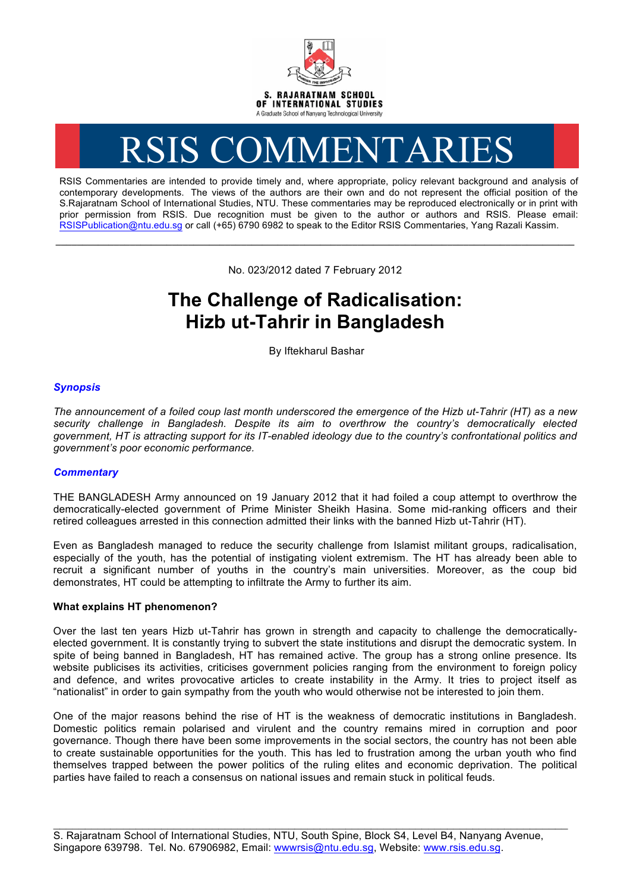

# RSIS COMMENTARIES

RSIS Commentaries are intended to provide timely and, where appropriate, policy relevant background and analysis of contemporary developments. The views of the authors are their own and do not represent the official position of the S.Rajaratnam School of International Studies, NTU. These commentaries may be reproduced electronically or in print with prior permission from RSIS. Due recognition must be given to the author or authors and RSIS. Please email: RSISPublication@ntu.edu.sg or call (+65) 6790 6982 to speak to the Editor RSIS Commentaries, Yang Razali Kassim.

No. 023/2012 dated 7 February 2012

**\_\_\_\_\_\_\_\_\_\_\_\_\_\_\_\_\_\_\_\_\_\_\_\_\_\_\_\_\_\_\_\_\_\_\_\_\_\_\_\_\_\_\_\_\_\_\_\_\_\_\_\_\_\_\_\_\_\_\_\_\_\_\_\_\_\_\_\_\_\_\_\_\_\_\_\_\_\_\_\_\_\_\_\_\_\_\_\_\_\_\_\_\_\_\_\_\_\_**

# **The Challenge of Radicalisation: Hizb ut-Tahrir in Bangladesh**

By Iftekharul Bashar

## *Synopsis*

*The announcement of a foiled coup last month underscored the emergence of the Hizb ut-Tahrir (HT) as a new security challenge in Bangladesh. Despite its aim to overthrow the country's democratically elected government, HT is attracting support for its IT-enabled ideology due to the country's confrontational politics and government's poor economic performance.*

## *Commentary*

THE BANGLADESH Army announced on 19 January 2012 that it had foiled a coup attempt to overthrow the democratically-elected government of Prime Minister Sheikh Hasina. Some mid-ranking officers and their retired colleagues arrested in this connection admitted their links with the banned Hizb ut-Tahrir (HT).

Even as Bangladesh managed to reduce the security challenge from Islamist militant groups, radicalisation, especially of the youth, has the potential of instigating violent extremism. The HT has already been able to recruit a significant number of youths in the country's main universities. Moreover, as the coup bid demonstrates, HT could be attempting to infiltrate the Army to further its aim.

#### **What explains HT phenomenon?**

Over the last ten years Hizb ut-Tahrir has grown in strength and capacity to challenge the democraticallyelected government. It is constantly trying to subvert the state institutions and disrupt the democratic system. In spite of being banned in Bangladesh, HT has remained active. The group has a strong online presence. Its website publicises its activities, criticises government policies ranging from the environment to foreign policy and defence, and writes provocative articles to create instability in the Army. It tries to project itself as "nationalist" in order to gain sympathy from the youth who would otherwise not be interested to join them.

One of the major reasons behind the rise of HT is the weakness of democratic institutions in Bangladesh. Domestic politics remain polarised and virulent and the country remains mired in corruption and poor governance. Though there have been some improvements in the social sectors, the country has not been able to create sustainable opportunities for the youth. This has led to frustration among the urban youth who find themselves trapped between the power politics of the ruling elites and economic deprivation. The political parties have failed to reach a consensus on national issues and remain stuck in political feuds.